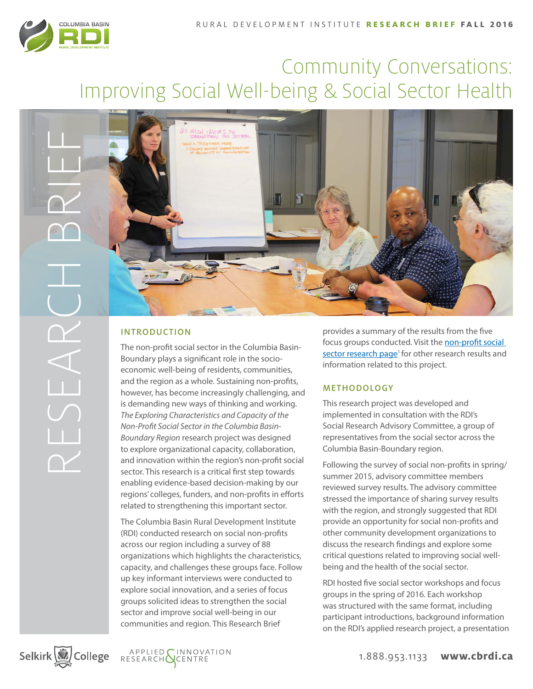

# Community Conversations: Improving Social Well-being & Social Sector Health



# INTRODUCTION

The non-profit social sector in the Columbia Basin-Boundary plays a significant role in the socioeconomic well-being of residents, communities, and the region as a whole. Sustaining non-profits, however, has become increasingly challenging, and is demanding new ways of thinking and working. *The Exploring Characteristics and Capacity of the Non-Profit Social Sector in the Columbia Basin-Boundary Region* research project was designed to explore organizational capacity, collaboration, and innovation within the region's non-profit social sector. This research is a critical first step towards enabling evidence-based decision-making by our regions' colleges, funders, and non-profits in efforts related to strengthening this important sector.

The Columbia Basin Rural Development Institute (RDI) conducted research on social non-profits across our region including a survey of 88 organizations which highlights the characteristics, capacity, and challenges these groups face. Follow up key informant interviews were conducted to explore social innovation, and a series of focus groups solicited ideas to strengthen the social sector and improve social well-being in our communities and region. This Research Brief

provides a summary of the results from the five focus groups conducted. Visit the [non-profit social](http://www.cbrdi.ca/research-areas/applied-research/non-profit-social-sector/)  sector research page<sup>1</sup> for other research results and information related to this project.

## METHODOLOGY

This research project was developed and implemented in consultation with the RDI's Social Research Advisory Committee, a group of representatives from the social sector across the Columbia Basin-Boundary region.

Following the survey of social non-profits in spring/ summer 2015, advisory committee members reviewed survey results. The advisory committee stressed the importance of sharing survey results with the region, and strongly suggested that RDI provide an opportunity for social non-profits and other community development organizations to discuss the research findings and explore some critical questions related to improving social wellbeing and the health of the social sector.

RDI hosted five social sector workshops and focus groups in the spring of 2016. Each workshop was structured with the same format, including participant introductions, background information on the RDI's applied research project, a presentation





1.888.953.1133 **www.cbrdi.ca**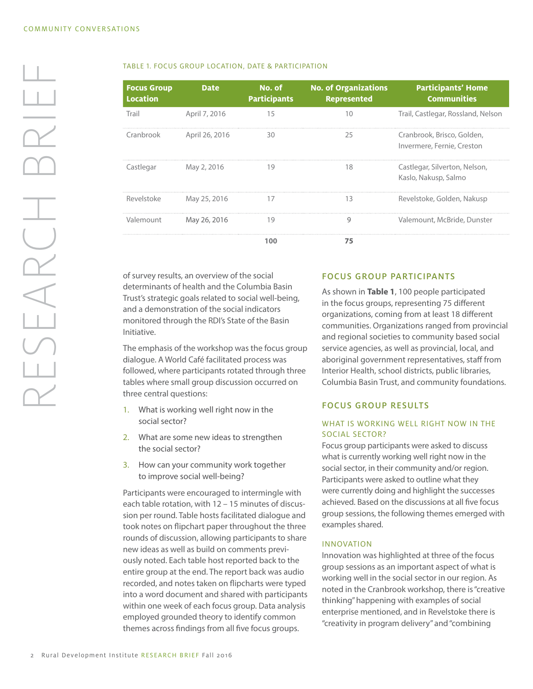RESEARCH BRIEF

LSEARCH

BRIE

| <b>Focus Group</b><br><b>Location</b> | <b>Date</b>    | No. of<br><b>Participants</b> | <b>No. of Organizations</b><br><b>Represented</b> | <b>Participants' Home</b><br><b>Communities</b>          |
|---------------------------------------|----------------|-------------------------------|---------------------------------------------------|----------------------------------------------------------|
| Trail                                 | April 7, 2016  | 15                            | 10                                                | Trail, Castlegar, Rossland, Nelson                       |
| Cranbrook                             | April 26, 2016 | 30                            | 25                                                | Cranbrook, Brisco, Golden,<br>Invermere, Fernie, Creston |
| Castlegar                             | May 2, 2016    | 19                            | 18                                                | Castlegar, Silverton, Nelson,<br>Kaslo, Nakusp, Salmo    |
| Revelstoke                            | May 25, 2016   | 17                            | 13                                                | Revelstoke, Golden, Nakusp                               |
| Valemount                             | May 26, 2016   | 19                            | 9                                                 | Valemount, McBride, Dunster                              |
|                                       |                |                               |                                                   |                                                          |

of survey results, an overview of the social determinants of health and the Columbia Basin Trust's strategic goals related to social well-being, and a demonstration of the social indicators monitored through the RDI's State of the Basin Initiative.

The emphasis of the workshop was the focus group dialogue. A World Café facilitated process was followed, where participants rotated through three tables where small group discussion occurred on three central questions:

- 1. What is working well right now in the social sector?
- 2. What are some new ideas to strengthen the social sector?
- 3. How can your community work together to improve social well-being?

Participants were encouraged to intermingle with each table rotation, with 12 – 15 minutes of discussion per round. Table hosts facilitated dialogue and took notes on flipchart paper throughout the three rounds of discussion, allowing participants to share new ideas as well as build on comments previously noted. Each table host reported back to the entire group at the end. The report back was audio recorded, and notes taken on flipcharts were typed into a word document and shared with participants within one week of each focus group. Data analysis employed grounded theory to identify common themes across findings from all five focus groups.

#### FOCUS GROUP PARTICIPANTS

As shown in **Table 1**, 100 people participated in the focus groups, representing 75 different organizations, coming from at least 18 different communities. Organizations ranged from provincial and regional societies to community based social service agencies, as well as provincial, local, and aboriginal government representatives, staff from Interior Health, school districts, public libraries, Columbia Basin Trust, and community foundations.

#### FOCUS GROUP RESULTS

## WHAT IS WORKING WELL RIGHT NOW IN THE SOCIAL SECTOR?

Focus group participants were asked to discuss what is currently working well right now in the social sector, in their community and/or region. Participants were asked to outline what they were currently doing and highlight the successes achieved. Based on the discussions at all five focus group sessions, the following themes emerged with examples shared.

#### INNOVATION

Innovation was highlighted at three of the focus group sessions as an important aspect of what is working well in the social sector in our region. As noted in the Cranbrook workshop, there is "creative thinking" happening with examples of social enterprise mentioned, and in Revelstoke there is "creativity in program delivery" and "combining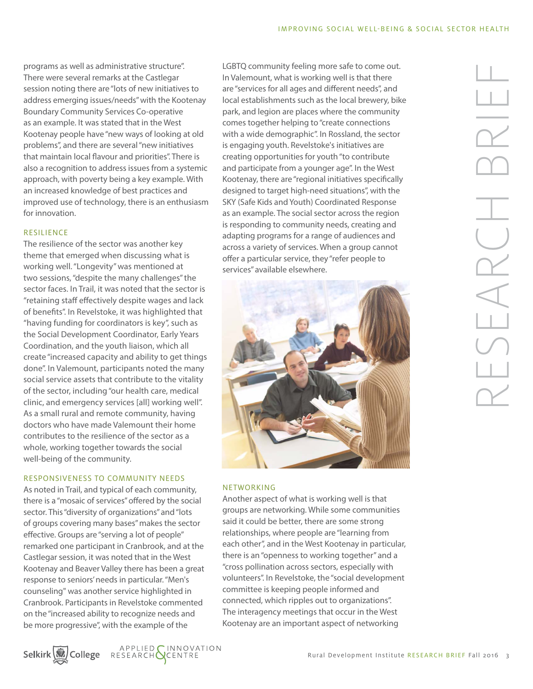programs as well as administrative structure". There were several remarks at the Castlegar session noting there are "lots of new initiatives to address emerging issues/needs" with the Kootenay Boundary Community Services Co-operative as an example. It was stated that in the West Kootenay people have "new ways of looking at old problems", and there are several "new initiatives that maintain local flavour and priorities". There is also a recognition to address issues from a systemic approach, with poverty being a key example. With an increased knowledge of best practices and improved use of technology, there is an enthusiasm for innovation.

## RESILIENCE

The resilience of the sector was another key theme that emerged when discussing what is working well. "Longevity" was mentioned at two sessions, "despite the many challenges" the sector faces. In Trail, it was noted that the sector is "retaining staff effectively despite wages and lack of benefits". In Revelstoke, it was highlighted that "having funding for coordinators is key", such as the Social Development Coordinator, Early Years Coordination, and the youth liaison, which all create "increased capacity and ability to get things done". In Valemount, participants noted the many social service assets that contribute to the vitality of the sector, including "our health care, medical clinic, and emergency services [all] working well". As a small rural and remote community, having doctors who have made Valemount their home contributes to the resilience of the sector as a whole, working together towards the social well-being of the community.

## RESPONSIVENESS TO COMMUNITY NEEDS

As noted in Trail, and typical of each community, there is a "mosaic of services" offered by the social sector. This "diversity of organizations" and "lots of groups covering many bases" makes the sector effective. Groups are "serving a lot of people" remarked one participant in Cranbrook, and at the Castlegar session, it was noted that in the West Kootenay and Beaver Valley there has been a great response to seniors' needs in particular. "Men's counseling" was another service highlighted in Cranbrook. Participants in Revelstoke commented on the "increased ability to recognize needs and be more progressive", with the example of the

LGBTQ community feeling more safe to come out. In Valemount, what is working well is that there are "services for all ages and different needs", and local establishments such as the local brewery, bike park, and legion are places where the community comes together helping to "create connections with a wide demographic". In Rossland, the sector is engaging youth. Revelstoke's initiatives are creating opportunities for youth "to contribute and participate from a younger age". In the West Kootenay, there are "regional initiatives specifically designed to target high-need situations", with the SKY (Safe Kids and Youth) Coordinated Response as an example. The social sector across the region is responding to community needs, creating and adapting programs for a range of audiences and across a variety of services. When a group cannot offer a particular service, they "refer people to services" available elsewhere.



## NETWORKING

Another aspect of what is working well is that groups are networking. While some communities said it could be better, there are some strong relationships, where people are "learning from each other", and in the West Kootenay in particular, there is an "openness to working together" and a "cross pollination across sectors, especially with volunteers". In Revelstoke, the "social development committee is keeping people informed and connected, which ripples out to organizations". The interagency meetings that occur in the West Kootenay are an important aspect of networking

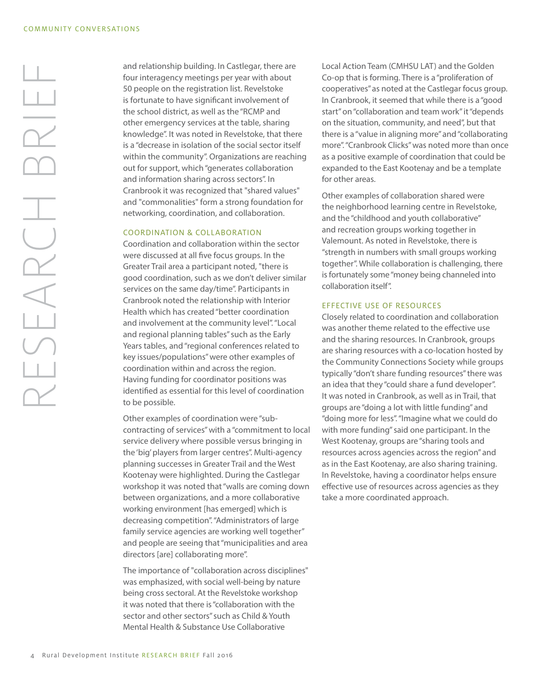and relationship building. In Castlegar, there are four interagency meetings per year with about 50 people on the registration list. Revelstoke is fortunate to have significant involvement of the school district, as well as the "RCMP and other emergency services at the table, sharing knowledge". It was noted in Revelstoke, that there is a "decrease in isolation of the social sector itself within the community". Organizations are reaching out for support, which "generates collaboration and information sharing across sectors". In Cranbrook it was recognized that "shared values" and "commonalities" form a strong foundation for networking, coordination, and collaboration.

#### COORDINATION & COLLABORATION

Coordination and collaboration within the sector were discussed at all five focus groups. In the Greater Trail area a participant noted, "there is good coordination, such as we don't deliver similar services on the same day/time". Participants in Cranbrook noted the relationship with Interior Health which has created "better coordination and involvement at the community level". "Local and regional planning tables" such as the Early Years tables, and "regional conferences related to key issues/populations" were other examples of coordination within and across the region. Having funding for coordinator positions was identified as essential for this level of coordination to be possible.

Other examples of coordination were "subcontracting of services" with a "commitment to local service delivery where possible versus bringing in the 'big' players from larger centres". Multi-agency planning successes in Greater Trail and the West Kootenay were highlighted. During the Castlegar workshop it was noted that "walls are coming down between organizations, and a more collaborative working environment [has emerged] which is decreasing competition". "Administrators of large family service agencies are working well together" and people are seeing that "municipalities and area directors [are] collaborating more".

The importance of "collaboration across disciplines" was emphasized, with social well-being by nature being cross sectoral. At the Revelstoke workshop it was noted that there is "collaboration with the sector and other sectors" such as Child & Youth Mental Health & Substance Use Collaborative

Local Action Team (CMHSU LAT) and the Golden Co-op that is forming. There is a "proliferation of cooperatives" as noted at the Castlegar focus group. In Cranbrook, it seemed that while there is a "good start" on "collaboration and team work" it "depends on the situation, community, and need", but that there is a "value in aligning more" and "collaborating more". "Cranbrook Clicks" was noted more than once as a positive example of coordination that could be expanded to the East Kootenay and be a template for other areas.

Other examples of collaboration shared were the neighborhood learning centre in Revelstoke, and the "childhood and youth collaborative" and recreation groups working together in Valemount. As noted in Revelstoke, there is "strength in numbers with small groups working together". While collaboration is challenging, there is fortunately some "money being channeled into collaboration itself".

#### EFFECTIVE USE OF RESOURCES

Closely related to coordination and collaboration was another theme related to the effective use and the sharing resources. In Cranbrook, groups are sharing resources with a co-location hosted by the Community Connections Society while groups typically "don't share funding resources" there was an idea that they "could share a fund developer". It was noted in Cranbrook, as well as in Trail, that groups are "doing a lot with little funding" and "doing more for less". "Imagine what we could do with more funding" said one participant. In the West Kootenay, groups are "sharing tools and resources across agencies across the region" and as in the East Kootenay, are also sharing training. In Revelstoke, having a coordinator helps ensure effective use of resources across agencies as they take a more coordinated approach.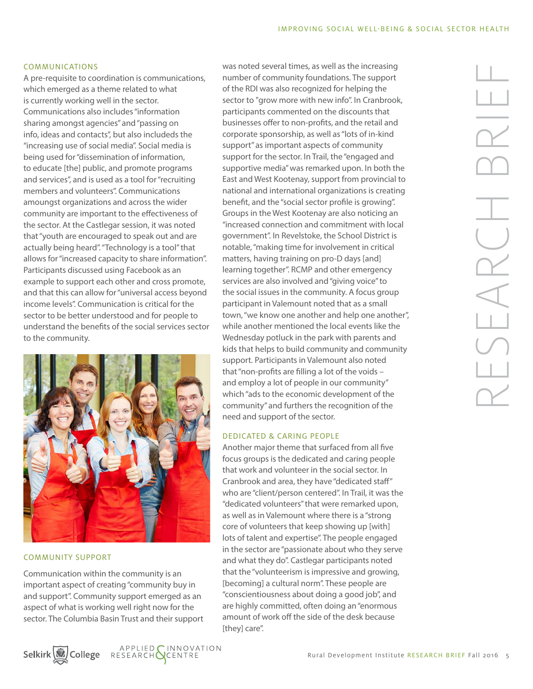#### COMMUNICATIONS

A pre-requisite to coordination is communications, which emerged as a theme related to what is currently working well in the sector. Communications also includes "information sharing amongst agencies" and "passing on info, ideas and contacts", but also includeds the "increasing use of social media". Social media is being used for "dissemination of information, to educate [the] public, and promote programs and services", and is used as a tool for "recruiting members and volunteers". Communications amoungst organizations and across the wider community are important to the effectiveness of the sector. At the Castlegar session, it was noted that "youth are encouraged to speak out and are actually being heard". "Technology is a tool" that allows for "increased capacity to share information". Participants discussed using Facebook as an example to support each other and cross promote, and that this can allow for "universal access beyond income levels". Communication is critical for the sector to be better understood and for people to understand the benefits of the social services sector to the community.



#### COMMUNITY SUPPORT

Communication within the community is an important aspect of creating "community buy in and support". Community support emerged as an aspect of what is working well right now for the sector. The Columbia Basin Trust and their support





was noted several times, as well as the increasing number of community foundations. The support of the RDI was also recognized for helping the sector to "grow more with new info". In Cranbrook, participants commented on the discounts that businesses offer to non-profits, and the retail and corporate sponsorship, as well as "lots of in-kind support" as important aspects of community support for the sector. In Trail, the "engaged and supportive media" was remarked upon. In both the East and West Kootenay, support from provincial to national and international organizations is creating benefit, and the "social sector profile is growing". Groups in the West Kootenay are also noticing an "increased connection and commitment with local government". In Revelstoke, the School District is notable, "making time for involvement in critical matters, having training on pro-D days [and] learning together". RCMP and other emergency services are also involved and "giving voice" to the social issues in the community. A focus group participant in Valemount noted that as a small town, "we know one another and help one another", while another mentioned the local events like the Wednesday potluck in the park with parents and kids that helps to build community and community support. Participants in Valemount also noted that "non-profits are filling a lot of the voids – and employ a lot of people in our community" which "ads to the economic development of the community" and furthers the recognition of the need and support of the sector.

#### DEDICATED & CARING PEOPLE

Another major theme that surfaced from all five focus groups is the dedicated and caring people that work and volunteer in the social sector. In Cranbrook and area, they have "dedicated staff" who are "client/person centered". In Trail, it was the "dedicated volunteers" that were remarked upon, as well as in Valemount where there is a "strong core of volunteers that keep showing up [with] lots of talent and expertise". The people engaged in the sector are "passionate about who they serve and what they do". Castlegar participants noted that the "volunteerism is impressive and growing, [becoming] a cultural norm". These people are "conscientiousness about doing a good job", and are highly committed, often doing an "enormous amount of work off the side of the desk because [they] care".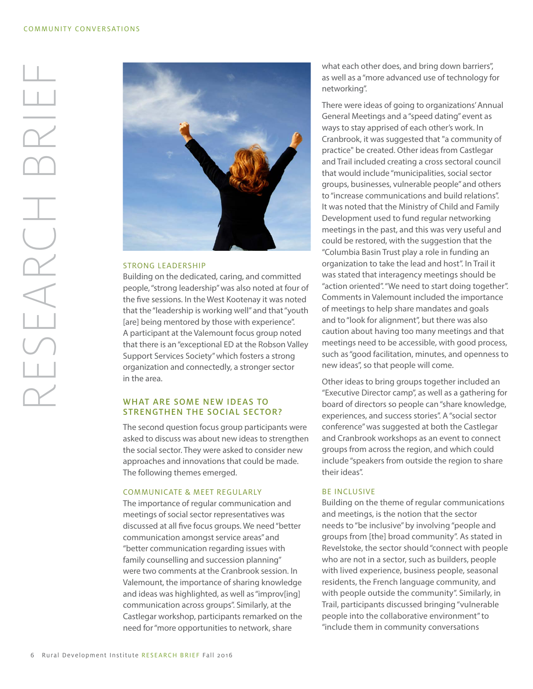

## STRONG LEADERSHIP

Building on the dedicated, caring, and committed people, "strong leadership" was also noted at four of the five sessions. In the West Kootenay it was noted that the "leadership is working well" and that "youth [are] being mentored by those with experience". A participant at the Valemount focus group noted that there is an "exceptional ED at the Robson Valley Support Services Society" which fosters a strong organization and connectedly, a stronger sector in the area.

## WHAT ARE SOME NEW IDEAS TO STRENGTHEN THE SOCIAL SECTOR?

The second question focus group participants were asked to discuss was about new ideas to strengthen the social sector. They were asked to consider new approaches and innovations that could be made. The following themes emerged.

#### COMMUNICATE & MEET REGULARLY

The importance of regular communication and meetings of social sector representatives was discussed at all five focus groups. We need "better communication amongst service areas" and "better communication regarding issues with family counselling and succession planning" were two comments at the Cranbrook session. In Valemount, the importance of sharing knowledge and ideas was highlighted, as well as "improv[ing] communication across groups". Similarly, at the Castlegar workshop, participants remarked on the need for "more opportunities to network, share

what each other does, and bring down barriers", as well as a "more advanced use of technology for networking".

There were ideas of going to organizations' Annual General Meetings and a "speed dating" event as ways to stay apprised of each other's work. In Cranbrook, it was suggested that "a community of practice" be created. Other ideas from Castlegar and Trail included creating a cross sectoral council that would include "municipalities, social sector groups, businesses, vulnerable people" and others to "increase communications and build relations". It was noted that the Ministry of Child and Family Development used to fund regular networking meetings in the past, and this was very useful and could be restored, with the suggestion that the "Columbia Basin Trust play a role in funding an organization to take the lead and host". In Trail it was stated that interagency meetings should be "action oriented". "We need to start doing together". Comments in Valemount included the importance of meetings to help share mandates and goals and to "look for alignment", but there was also caution about having too many meetings and that meetings need to be accessible, with good process, such as "good facilitation, minutes, and openness to new ideas", so that people will come.

Other ideas to bring groups together included an "Executive Director camp", as well as a gathering for board of directors so people can "share knowledge, experiences, and success stories". A "social sector conference" was suggested at both the Castlegar and Cranbrook workshops as an event to connect groups from across the region, and which could include "speakers from outside the region to share their ideas".

#### BE INCLUSIVE

Building on the theme of regular communications and meetings, is the notion that the sector needs to "be inclusive" by involving "people and groups from [the] broad community". As stated in Revelstoke, the sector should "connect with people who are not in a sector, such as builders, people with lived experience, business people, seasonal residents, the French language community, and with people outside the community". Similarly, in Trail, participants discussed bringing "vulnerable people into the collaborative environment" to "include them in community conversations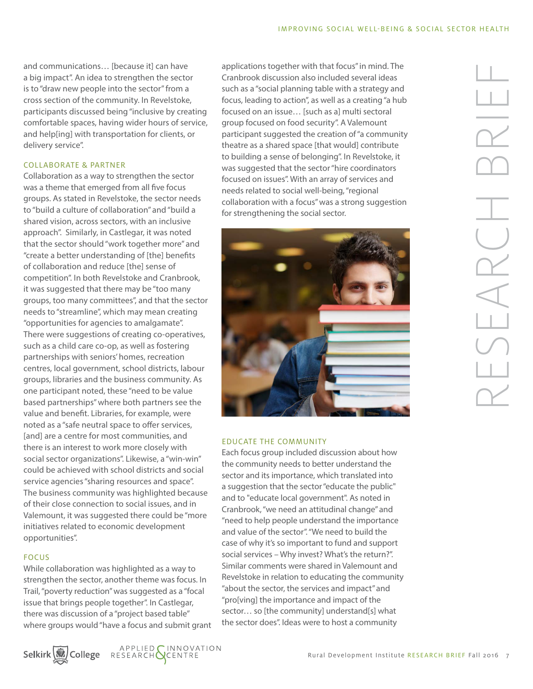and communications… [because it] can have a big impact". An idea to strengthen the sector is to "draw new people into the sector" from a cross section of the community. In Revelstoke, participants discussed being "inclusive by creating comfortable spaces, having wider hours of service, and help[ing] with transportation for clients, or delivery service".

## COLLABORATE & PARTNER

Collaboration as a way to strengthen the sector was a theme that emerged from all five focus groups. As stated in Revelstoke, the sector needs to "build a culture of collaboration" and "build a shared vision, across sectors, with an inclusive approach". Similarly, in Castlegar, it was noted that the sector should "work together more" and "create a better understanding of [the] benefits of collaboration and reduce [the] sense of competition". In both Revelstoke and Cranbrook, it was suggested that there may be "too many groups, too many committees", and that the sector needs to "streamline", which may mean creating "opportunities for agencies to amalgamate". There were suggestions of creating co-operatives, such as a child care co-op, as well as fostering partnerships with seniors' homes, recreation centres, local government, school districts, labour groups, libraries and the business community. As one participant noted, these "need to be value based partnerships" where both partners see the value and benefit. Libraries, for example, were noted as a "safe neutral space to offer services, [and] are a centre for most communities, and there is an interest to work more closely with social sector organizations". Likewise, a "win-win" could be achieved with school districts and social service agencies "sharing resources and space". The business community was highlighted because of their close connection to social issues, and in Valemount, it was suggested there could be "more initiatives related to economic development opportunities".

#### FOCUS

While collaboration was highlighted as a way to strengthen the sector, another theme was focus. In Trail, "poverty reduction" was suggested as a "focal issue that brings people together". In Castlegar, there was discussion of a "project based table" where groups would "have a focus and submit grant

applications together with that focus" in mind. The Cranbrook discussion also included several ideas such as a "social planning table with a strategy and focus, leading to action", as well as a creating "a hub focused on an issue… [such as a] multi sectoral group focused on food security". A Valemount participant suggested the creation of "a community theatre as a shared space [that would] contribute to building a sense of belonging". In Revelstoke, it was suggested that the sector "hire coordinators focused on issues". With an array of services and needs related to social well-being, "regional collaboration with a focus" was a strong suggestion for strengthening the social sector.



## EDUCATE THE COMMUNITY

Each focus group included discussion about how the community needs to better understand the sector and its importance, which translated into a suggestion that the sector "educate the public" and to "educate local government". As noted in Cranbrook, "we need an attitudinal change" and "need to help people understand the importance and value of the sector". "We need to build the case of why it's so important to fund and support social services – Why invest? What's the return?". Similar comments were shared in Valemount and Revelstoke in relation to educating the community "about the sector, the services and impact" and "pro[ving] the importance and impact of the sector… so [the community] understand[s] what the sector does". Ideas were to host a community



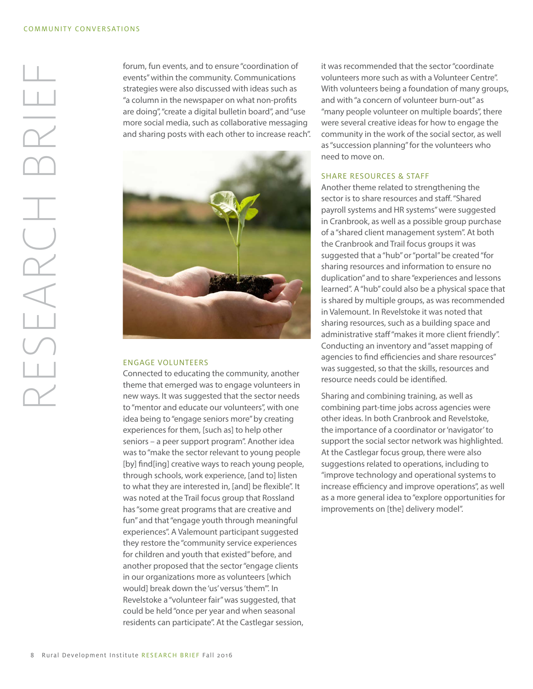forum, fun events, and to ensure "coordination of events" within the community. Communications strategies were also discussed with ideas such as "a column in the newspaper on what non-profits are doing", "create a digital bulletin board", and "use more social media, such as collaborative messaging and sharing posts with each other to increase reach".



#### ENGAGE VOLUNTEERS

Connected to educating the community, another theme that emerged was to engage volunteers in new ways. It was suggested that the sector needs to "mentor and educate our volunteers", with one idea being to "engage seniors more" by creating experiences for them, [such as] to help other seniors – a peer support program". Another idea was to "make the sector relevant to young people [by] find[ing] creative ways to reach young people, through schools, work experience, [and to] listen to what they are interested in, [and] be flexible". It was noted at the Trail focus group that Rossland has "some great programs that are creative and fun" and that "engage youth through meaningful experiences". A Valemount participant suggested they restore the "community service experiences for children and youth that existed" before, and another proposed that the sector "engage clients in our organizations more as volunteers [which would] break down the 'us' versus 'them'". In Revelstoke a "volunteer fair" was suggested, that could be held "once per year and when seasonal residents can participate". At the Castlegar session,

it was recommended that the sector "coordinate volunteers more such as with a Volunteer Centre". With volunteers being a foundation of many groups, and with "a concern of volunteer burn-out" as "many people volunteer on multiple boards", there were several creative ideas for how to engage the community in the work of the social sector, as well as "succession planning" for the volunteers who need to move on.

## SHARE RESOURCES & STAFF

Another theme related to strengthening the sector is to share resources and staff. "Shared payroll systems and HR systems" were suggested in Cranbrook, as well as a possible group purchase of a "shared client management system". At both the Cranbrook and Trail focus groups it was suggested that a "hub" or "portal" be created "for sharing resources and information to ensure no duplication" and to share "experiences and lessons learned". A "hub" could also be a physical space that is shared by multiple groups, as was recommended in Valemount. In Revelstoke it was noted that sharing resources, such as a building space and administrative staff "makes it more client friendly". Conducting an inventory and "asset mapping of agencies to find efficiencies and share resources" was suggested, so that the skills, resources and resource needs could be identified.

Sharing and combining training, as well as combining part-time jobs across agencies were other ideas. In both Cranbrook and Revelstoke, the importance of a coordinator or 'navigator' to support the social sector network was highlighted. At the Castlegar focus group, there were also suggestions related to operations, including to "improve technology and operational systems to increase efficiency and improve operations", as well as a more general idea to "explore opportunities for improvements on [the] delivery model".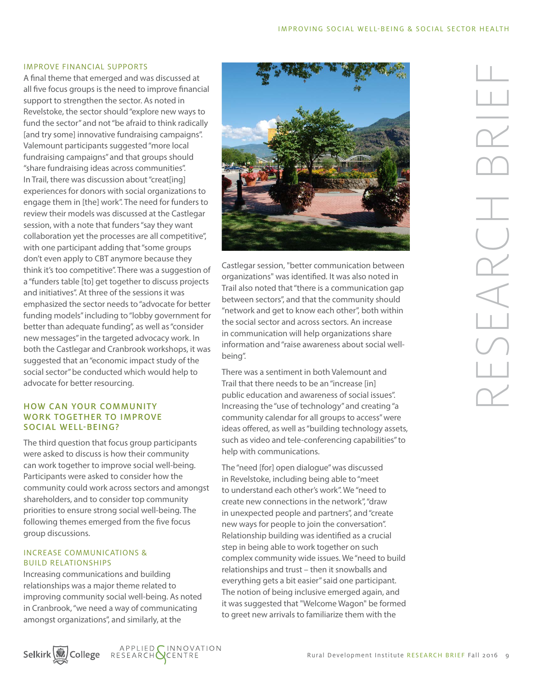#### IMPROVE FINANCIAL SUPPORTS

A final theme that emerged and was discussed at all five focus groups is the need to improve financial support to strengthen the sector. As noted in Revelstoke, the sector should "explore new ways to fund the sector" and not "be afraid to think radically [and try some] innovative fundraising campaigns". Valemount participants suggested "more local fundraising campaigns" and that groups should "share fundraising ideas across communities". In Trail, there was discussion about "creat[ing] experiences for donors with social organizations to engage them in [the] work". The need for funders to review their models was discussed at the Castlegar session, with a note that funders "say they want collaboration yet the processes are all competitive", with one participant adding that "some groups don't even apply to CBT anymore because they think it's too competitive". There was a suggestion of a "funders table [to] get together to discuss projects and initiatives". At three of the sessions it was emphasized the sector needs to "advocate for better funding models" including to "lobby government for better than adequate funding", as well as "consider new messages" in the targeted advocacy work. In both the Castlegar and Cranbrook workshops, it was suggested that an "economic impact study of the social sector" be conducted which would help to advocate for better resourcing.

## HOW CAN YOUR COMMUNITY WORK TOGETHER TO IMPROVE SOCIAL WELL-BEING?

The third question that focus group participants were asked to discuss is how their community can work together to improve social well-being. Participants were asked to consider how the community could work across sectors and amongst shareholders, and to consider top community priorities to ensure strong social well-being. The following themes emerged from the five focus group discussions.

## INCREASE COMMUNICATIONS & BUILD RELATIONSHIPS

Increasing communications and building relationships was a major theme related to improving community social well-being. As noted in Cranbrook, "we need a way of communicating amongst organizations", and similarly, at the

Selkirk<sup>W</sup>College RESEARCHOCENTRE



Castlegar session, "better communication between organizations" was identified. It was also noted in Trail also noted that "there is a communication gap between sectors", and that the community should "network and get to know each other", both within the social sector and across sectors. An increase in communication will help organizations share information and "raise awareness about social wellbeing".

There was a sentiment in both Valemount and Trail that there needs to be an "increase [in] public education and awareness of social issues". Increasing the "use of technology" and creating "a community calendar for all groups to access" were ideas offered, as well as "building technology assets, such as video and tele-conferencing capabilities" to help with communications.

The "need [for] open dialogue" was discussed in Revelstoke, including being able to "meet to understand each other's work". We "need to create new connections in the network", "draw in unexpected people and partners", and "create new ways for people to join the conversation". Relationship building was identified as a crucial step in being able to work together on such complex community wide issues. We "need to build relationships and trust – then it snowballs and everything gets a bit easier" said one participant. The notion of being inclusive emerged again, and it was suggested that "Welcome Wagon" be formed to greet new arrivals to familiarize them with the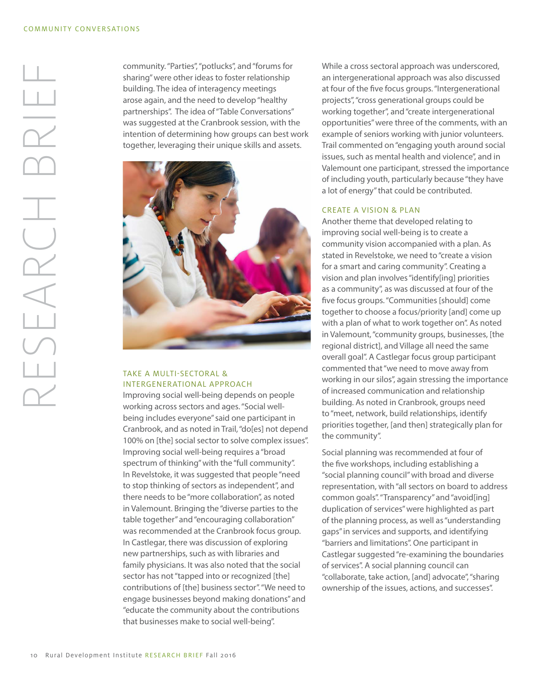community. "Parties", "potlucks", and "forums for sharing" were other ideas to foster relationship building. The idea of interagency meetings arose again, and the need to develop "healthy partnerships". The idea of "Table Conversations" was suggested at the Cranbrook session, with the intention of determining how groups can best work together, leveraging their unique skills and assets.



## TAKE A MULTI-SECTORAL & INTERGENERATIONAL APPROACH

Improving social well-being depends on people working across sectors and ages. "Social wellbeing includes everyone" said one participant in Cranbrook, and as noted in Trail, "do[es] not depend 100% on [the] social sector to solve complex issues". Improving social well-being requires a "broad spectrum of thinking" with the "full community". In Revelstoke, it was suggested that people "need to stop thinking of sectors as independent", and there needs to be "more collaboration", as noted in Valemount. Bringing the "diverse parties to the table together" and "encouraging collaboration" was recommended at the Cranbrook focus group. In Castlegar, there was discussion of exploring new partnerships, such as with libraries and family physicians. It was also noted that the social sector has not "tapped into or recognized [the] contributions of [the] business sector". "We need to engage businesses beyond making donations" and "educate the community about the contributions that businesses make to social well-being".

While a cross sectoral approach was underscored, an intergenerational approach was also discussed at four of the five focus groups. "Intergenerational projects", "cross generational groups could be working together", and "create intergenerational opportunities" were three of the comments, with an example of seniors working with junior volunteers. Trail commented on "engaging youth around social issues, such as mental health and violence", and in Valemount one participant, stressed the importance of including youth, particularly because "they have a lot of energy" that could be contributed.

## CREATE A VISION & PLAN

Another theme that developed relating to improving social well-being is to create a community vision accompanied with a plan. As stated in Revelstoke, we need to "create a vision for a smart and caring community". Creating a vision and plan involves "identify[ing] priorities as a community", as was discussed at four of the five focus groups. "Communities [should] come together to choose a focus/priority [and] come up with a plan of what to work together on". As noted in Valemount, "community groups, businesses, [the regional district], and Village all need the same overall goal". A Castlegar focus group participant commented that "we need to move away from working in our silos", again stressing the importance of increased communication and relationship building. As noted in Cranbrook, groups need to "meet, network, build relationships, identify priorities together, [and then] strategically plan for the community".

Social planning was recommended at four of the five workshops, including establishing a "social planning council" with broad and diverse representation, with "all sectors on board to address common goals". "Transparency" and "avoid[ing] duplication of services" were highlighted as part of the planning process, as well as "understanding gaps" in services and supports, and identifying "barriers and limitations". One participant in Castlegar suggested "re-examining the boundaries of services". A social planning council can "collaborate, take action, [and] advocate", "sharing ownership of the issues, actions, and successes".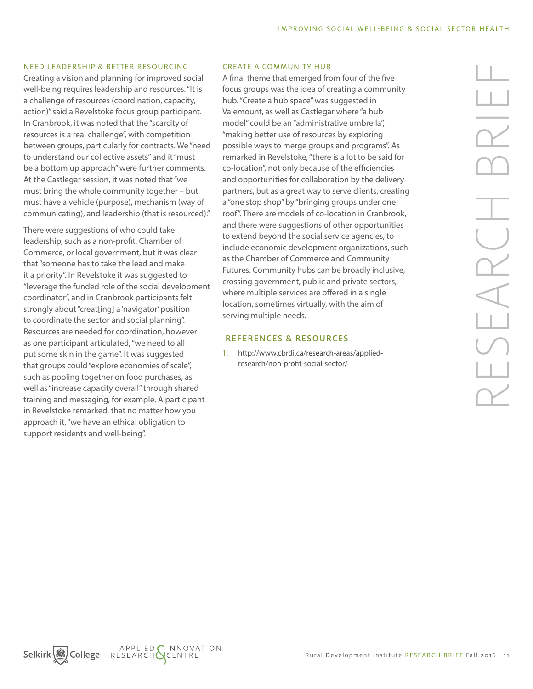#### NEED LEADERSHIP & BETTER RESOURCING

Creating a vision and planning for improved social well-being requires leadership and resources. "It is a challenge of resources (coordination, capacity, action)" said a Revelstoke focus group participant. In Cranbrook, it was noted that the "scarcity of resources is a real challenge", with competition between groups, particularly for contracts. We "need to understand our collective assets" and it "must be a bottom up approach" were further comments. At the Castlegar session, it was noted that "we must bring the whole community together – but must have a vehicle (purpose), mechanism (way of communicating), and leadership (that is resourced)."

There were suggestions of who could take leadership, such as a non-profit, Chamber of Commerce, or local government, but it was clear that "someone has to take the lead and make it a priority". In Revelstoke it was suggested to "leverage the funded role of the social development coordinator", and in Cranbrook participants felt strongly about "creat[ing] a 'navigator' position to coordinate the sector and social planning". Resources are needed for coordination, however as one participant articulated, "we need to all put some skin in the game". It was suggested that groups could "explore economies of scale", such as pooling together on food purchases, as well as "increase capacity overall" through shared training and messaging, for example. A participant in Revelstoke remarked, that no matter how you approach it, "we have an ethical obligation to support residents and well-being".

#### CREATE A COMMUNITY HUB

A final theme that emerged from four of the five focus groups was the idea of creating a community hub. "Create a hub space" was suggested in Valemount, as well as Castlegar where "a hub model" could be an "administrative umbrella", "making better use of resources by exploring possible ways to merge groups and programs". As remarked in Revelstoke, "there is a lot to be said for co-location", not only because of the efficiencies and opportunities for collaboration by the delivery partners, but as a great way to serve clients, creating a "one stop shop" by "bringing groups under one roof". There are models of co-location in Cranbrook, and there were suggestions of other opportunities to extend beyond the social service agencies, to include economic development organizations, such as the Chamber of Commerce and Community Futures. Community hubs can be broadly inclusive, crossing government, public and private sectors, where multiple services are offered in a single location, sometimes virtually, with the aim of serving multiple needs.

## REFERENCES & RESOURCES

1. [http://www.cbrdi.ca/research-areas/applied](http://www.cbrdi.ca/research-areas/applied-research/non-profit-social-sector/)[research/non-profit-social-sector/](http://www.cbrdi.ca/research-areas/applied-research/non-profit-social-sector/)